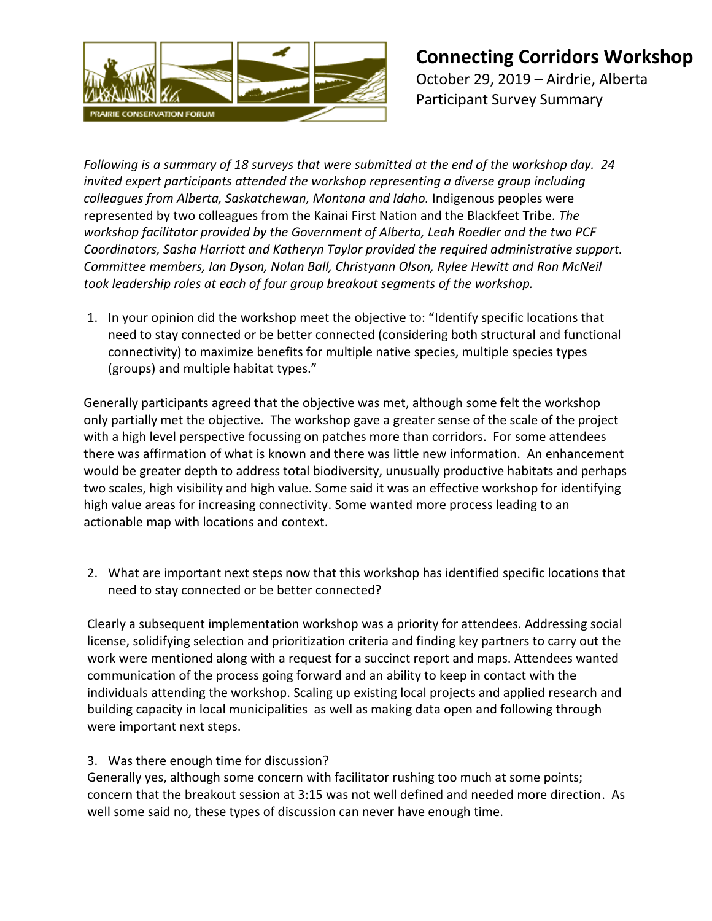

*Following is a summary of 18 surveys that were submitted at the end of the workshop day. 24 invited expert participants attended the workshop representing a diverse group including colleagues from Alberta, Saskatchewan, Montana and Idaho.* Indigenous peoples were represented by two colleagues from the Kainai First Nation and the Blackfeet Tribe*. The workshop facilitator provided by the Government of Alberta, Leah Roedler and the two PCF Coordinators, Sasha Harriott and Katheryn Taylor provided the required administrative support. Committee members, Ian Dyson, Nolan Ball, Christyann Olson, Rylee Hewitt and Ron McNeil took leadership roles at each of four group breakout segments of the workshop.*

1. In your opinion did the workshop meet the objective to: "Identify specific locations that need to stay connected or be better connected (considering both structural and functional connectivity) to maximize benefits for multiple native species, multiple species types (groups) and multiple habitat types."

Generally participants agreed that the objective was met, although some felt the workshop only partially met the objective. The workshop gave a greater sense of the scale of the project with a high level perspective focussing on patches more than corridors. For some attendees there was affirmation of what is known and there was little new information. An enhancement would be greater depth to address total biodiversity, unusually productive habitats and perhaps two scales, high visibility and high value. Some said it was an effective workshop for identifying high value areas for increasing connectivity. Some wanted more process leading to an actionable map with locations and context.

2. What are important next steps now that this workshop has identified specific locations that need to stay connected or be better connected?

Clearly a subsequent implementation workshop was a priority for attendees. Addressing social license, solidifying selection and prioritization criteria and finding key partners to carry out the work were mentioned along with a request for a succinct report and maps. Attendees wanted communication of the process going forward and an ability to keep in contact with the individuals attending the workshop. Scaling up existing local projects and applied research and building capacity in local municipalities as well as making data open and following through were important next steps.

## 3. Was there enough time for discussion?

Generally yes, although some concern with facilitator rushing too much at some points; concern that the breakout session at 3:15 was not well defined and needed more direction. As well some said no, these types of discussion can never have enough time.